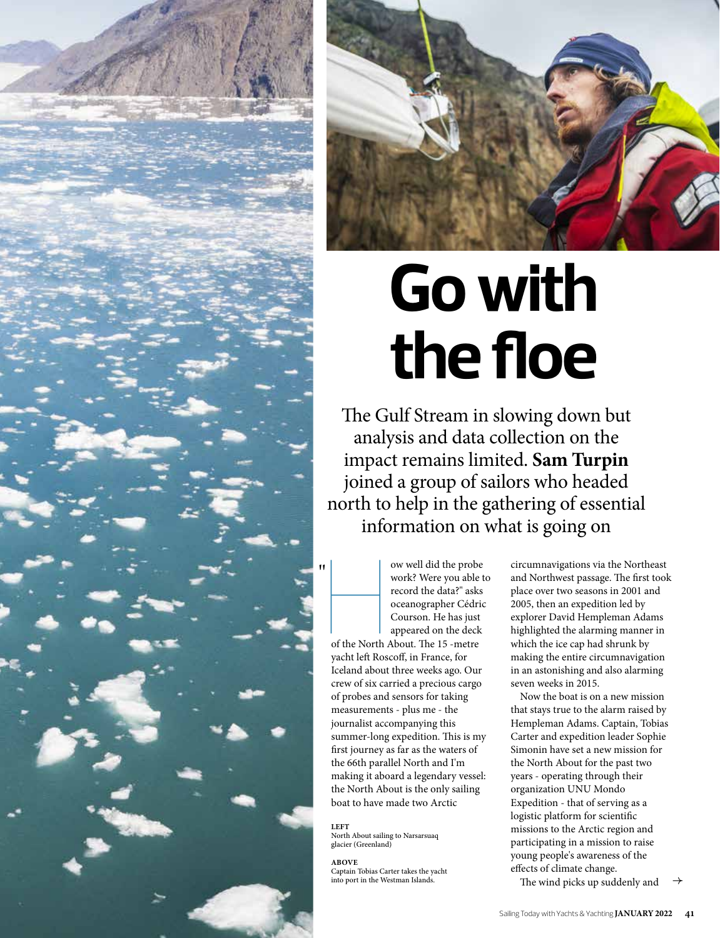



# **Go with the floe**

The Gulf Stream in slowing down but analysis and data collection on the impact remains limited. **Sam Turpin** joined a group of sailors who headed north to help in the gathering of essential information on what is going on

I<br>
work? Were you able t<br>
work? Were you able t<br>
record the data?" asks<br>
oceanographer Cédric<br>
Courson. He has just<br>
appeared on the deck<br>
of the North About. The 15 -metre work? Were you able to record the data?" asks oceanographer Cédric Courson. He has just appeared on the deck of the North About. The 15 -metre yacht left Roscoff, in France, for Iceland about three weeks ago. Our crew of six carried a precious cargo of probes and sensors for taking measurements - plus me - the journalist accompanying this summer-long expedition. This is my first journey as far as the waters of the 66th parallel North and I'm making it aboard a legendary vessel: the North About is the only sailing boat to have made two Arctic

**LEFT** North About sailing to Narsarsuaq glacier (Greenland)

**ABOVE**

Captain Tobias Carter takes the yacht into port in the Westman Islands.

circumnavigations via the Northeast and Northwest passage. The first took place over two seasons in 2001 and 2005, then an expedition led by explorer David Hempleman Adams highlighted the alarming manner in which the ice cap had shrunk by making the entire circumnavigation in an astonishing and also alarming seven weeks in 2015.

Now the boat is on a new mission that stays true to the alarm raised by Hempleman Adams. Captain, Tobias Carter and expedition leader Sophie Simonin have set a new mission for the North About for the past two years - operating through their organization UNU Mondo Expedition - that of serving as a logistic platform for scientific missions to the Arctic region and participating in a mission to raise young people's awareness of the effects of climate change.

The wind picks up suddenly and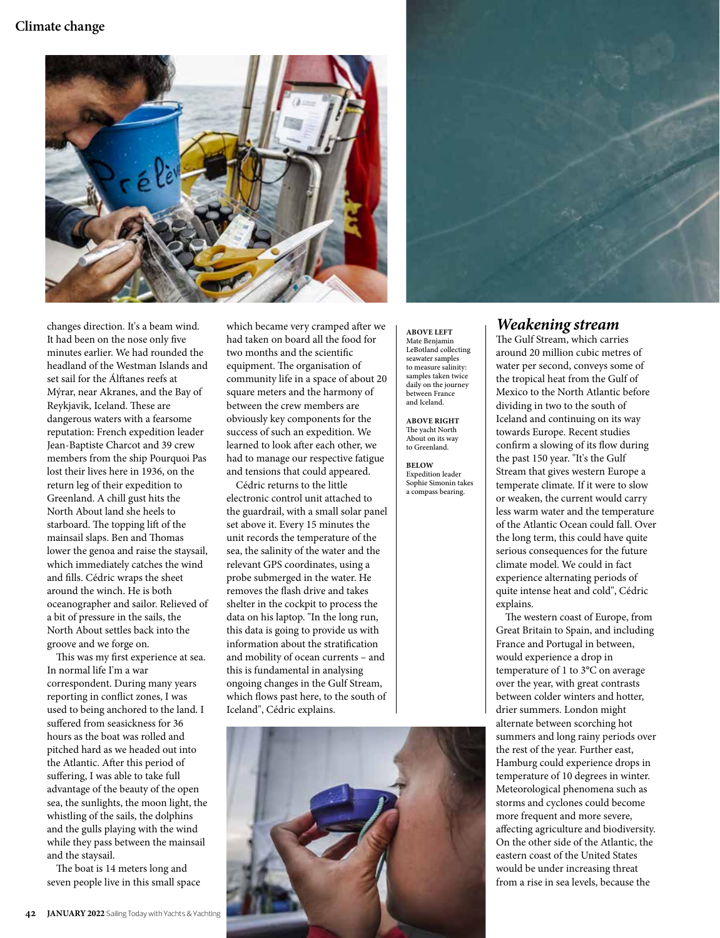#### **Climate change**



changes direction. It's a beam wind. It had been on the nose only five minutes earlier. We had rounded the headland of the Westman Islands and set sail for the Álftanes reefs at Mýrar, near Akranes, and the Bay of Reykjavik, Iceland. These are dangerous waters with a fearsome reputation: French expedition leader Jean-Baptiste Charcot and 39 crew members from the ship Pourquoi Pas lost their lives here in 1936, on the return leg of their expedition to Greenland. A chill gust hits the North About land she heels to starboard. The topping lift of the mainsail slaps. Ben and Thomas lower the genoa and raise the staysail, which immediately catches the wind and fills. Cédric wraps the sheet around the winch. He is both oceanographer and sailor. Relieved of a bit of pressure in the sails, the North About settles back into the groove and we forge on.

This was my first experience at sea. In normal life I'm a war correspondent. During many years reporting in conflict zones, I was used to being anchored to the land. I suffered from seasickness for 36 hours as the boat was rolled and pitched hard as we headed out into the Atlantic. After this period of suffering, I was able to take full advantage of the beauty of the open sea, the sunlights, the moon light, the whistling of the sails, the dolphins and the gulls playing with the wind while they pass between the mainsail and the staysail.

The boat is 14 meters long and seven people live in this small space which became very cramped after we had taken on board all the food for two months and the scientific equipment. The organisation of community life in a space of about 20 square meters and the harmony of between the crew members are obviously key components for the success of such an expedition. We learned to look after each other, we had to manage our respective fatigue and tensions that could appeared.

Cédric returns to the little electronic control unit attached to the guardrail, with a small solar panel set above it. Every 15 minutes the unit records the temperature of the sea, the salinity of the water and the relevant GPS coordinates, using a probe submerged in the water. He removes the flash drive and takes shelter in the cockpit to process the data on his laptop. "In the long run, this data is going to provide us with information about the stratification and mobility of ocean currents – and this is fundamental in analysing ongoing changes in the Gulf Stream, which flows past here, to the south of Iceland", Cédric explains.



**ABOVE LEFT** Mate Benjamin LeBotland collecting seawater samples to measure salinity: samples taken twice daily on the journey between France and Iceland.

**ABOVE RIGHT** The yacht North About on its way to Greenland.

**BELOW** Expedition leader Sophie Simonin takes a compass bearing.

### *Weakening stream*

The Gulf Stream, which carries around 20 million cubic metres of water per second, conveys some of the tropical heat from the Gulf of Mexico to the North Atlantic before dividing in two to the south of Iceland and continuing on its way towards Europe. Recent studies confirm a slowing of its flow during the past 150 year. "It's the Gulf Stream that gives western Europe a temperate climate. If it were to slow or weaken, the current would carry less warm water and the temperature of the Atlantic Ocean could fall. Over the long term, this could have quite serious consequences for the future climate model. We could in fact experience alternating periods of quite intense heat and cold", Cédric explains.

The western coast of Europe, from Great Britain to Spain, and including France and Portugal in between, would experience a drop in temperature of 1 to 3°C on average over the year, with great contrasts between colder winters and hotter, drier summers. London might alternate between scorching hot summers and long rainy periods over the rest of the year. Further east, Hamburg could experience drops in temperature of 10 degrees in winter. Meteorological phenomena such as storms and cyclones could become more frequent and more severe, affecting agriculture and biodiversity. On the other side of the Atlantic, the eastern coast of the United States would be under increasing threat from a rise in sea levels, because the

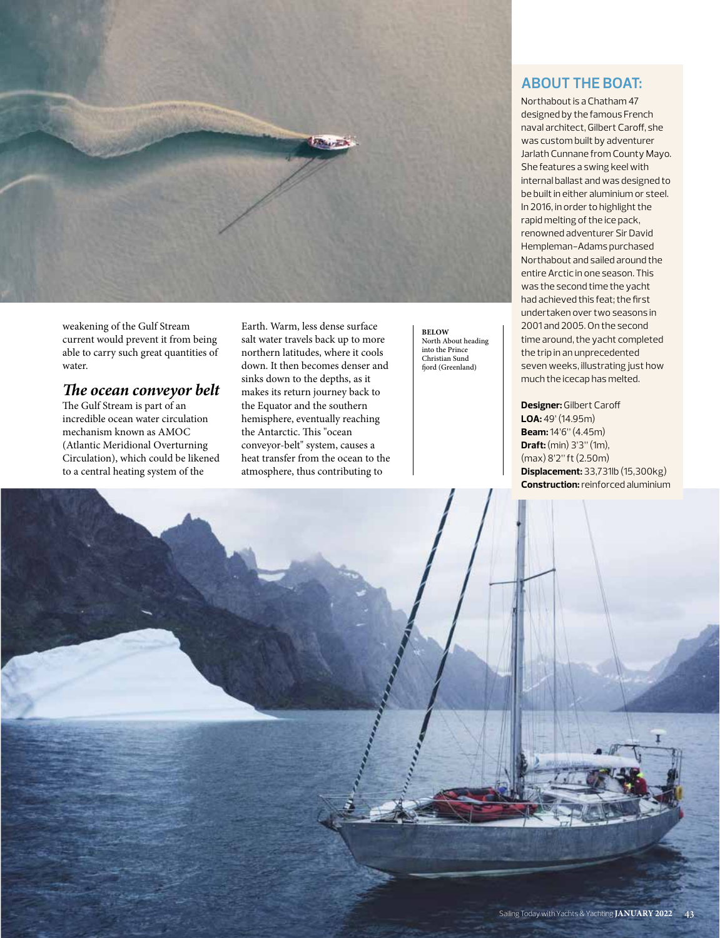

weakening of the Gulf Stream current would prevent it from being able to carry such great quantities of water.

#### *The ocean conveyor belt*

The Gulf Stream is part of an incredible ocean water circulation mechanism known as AMOC (Atlantic Meridional Overturning Circulation), which could be likened to a central heating system of the

Earth. Warm, less dense surface salt water travels back up to more northern latitudes, where it cools down. It then becomes denser and sinks down to the depths, as it makes its return journey back to the Equator and the southern hemisphere, eventually reaching the Antarctic. This "ocean conveyor-belt" system, causes a heat transfer from the ocean to the atmosphere, thus contributing to

**BELOW** North About heading into the Prince Christian Sund fiord (Greenland)

#### **ABOUT THE BOAT:**

Northabout is a Chatham 47 designed by the famous French naval architect, Gilbert Caroff, she was custom built by adventurer Jarlath Cunnane from County Mayo. She features a swing keel with internal ballast and was designed to be built in either aluminium or steel. In 2016, in order to highlight the rapid melting of the ice pack, renowned adventurer Sir David Hempleman-Adams purchased Northabout and sailed around the entire Arctic in one season. This was the second time the yacht had achieved this feat; the first undertaken over two seasons in 2001 and 2005. On the second time around, the yacht completed the trip in an unprecedented seven weeks, illustrating just how much the icecap has melted.

**Designer:** Gilbert Caroff **LOA:** 49' (14.95m) **Beam:** 14'6" (4.45m) **Draft:** (min) 3'3" (1m), (max) 8'2" ft (2.50m) **Displacement:** 33,731lb (15,300kg) **Construction:** reinforced aluminium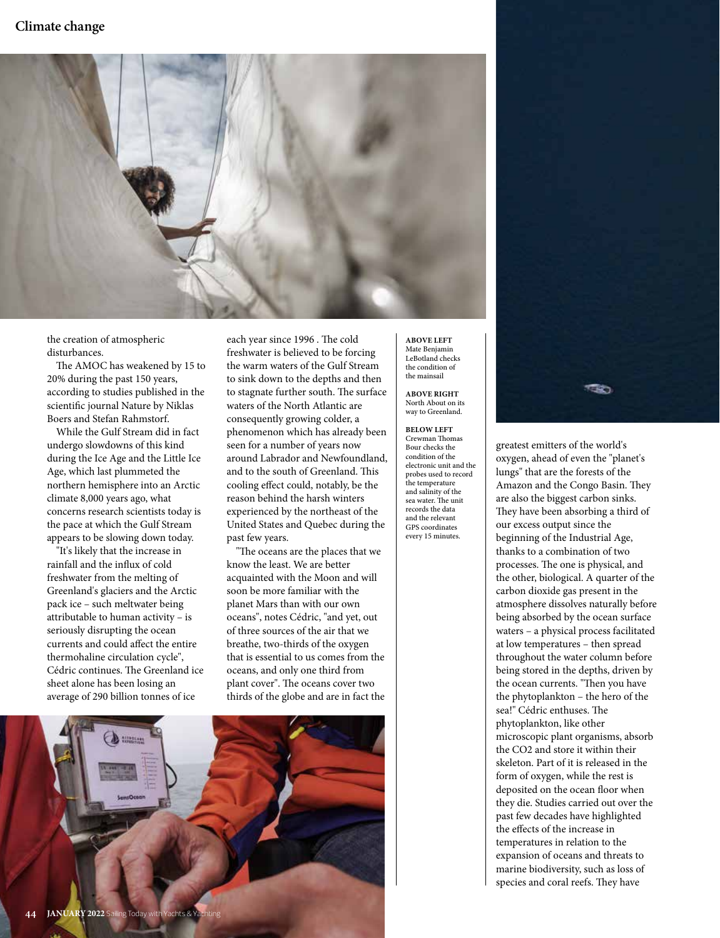

the creation of atmospheric disturbances.

The AMOC has weakened by 15 to 20% during the past 150 years, according to studies published in the scientific journal Nature by Niklas Boers and Stefan Rahmstorf.

While the Gulf Stream did in fact undergo slowdowns of this kind during the Ice Age and the Little Ice Age, which last plummeted the northern hemisphere into an Arctic climate 8,000 years ago, what concerns research scientists today is the pace at which the Gulf Stream appears to be slowing down today.

"It's likely that the increase in rainfall and the influx of cold freshwater from the melting of Greenland's glaciers and the Arctic pack ice – such meltwater being attributable to human activity – is seriously disrupting the ocean currents and could affect the entire thermohaline circulation cycle", Cédric continues. The Greenland ice sheet alone has been losing an average of 290 billion tonnes of ice

each year since 1996 . The cold freshwater is believed to be forcing the warm waters of the Gulf Stream to sink down to the depths and then to stagnate further south. The surface waters of the North Atlantic are consequently growing colder, a phenomenon which has already been seen for a number of years now around Labrador and Newfoundland, and to the south of Greenland. This cooling effect could, notably, be the reason behind the harsh winters experienced by the northeast of the United States and Quebec during the past few years.

"The oceans are the places that we know the least. We are better acquainted with the Moon and will soon be more familiar with the planet Mars than with our own oceans", notes Cédric, "and yet, out of three sources of the air that we breathe, two-thirds of the oxygen that is essential to us comes from the oceans, and only one third from plant cover". The oceans cover two thirds of the globe and are in fact the

**ABOVE LEFT** Mate Benjamin LeBotland checks

**ABOVE RIGHT** North About on its way to Greenland.

the condition of the mainsail

**BELOW LEFT** Crewman Thomas Bour checks the condition of the electronic unit and the probes used to record the temperature and salinity of the sea water. The unit records the data and the relevant GPS coordinates every 15 minutes.



greatest emitters of the world's oxygen, ahead of even the "planet's lungs" that are the forests of the Amazon and the Congo Basin. They are also the biggest carbon sinks. They have been absorbing a third of our excess output since the beginning of the Industrial Age, thanks to a combination of two processes. The one is physical, and the other, biological. A quarter of the carbon dioxide gas present in the atmosphere dissolves naturally before being absorbed by the ocean surface waters – a physical process facilitated at low temperatures – then spread throughout the water column before being stored in the depths, driven by the ocean currents. "Then you have the phytoplankton – the hero of the sea!" Cédric enthuses. The phytoplankton, like other microscopic plant organisms, absorb the CO2 and store it within their skeleton. Part of it is released in the form of oxygen, while the rest is deposited on the ocean floor when they die. Studies carried out over the past few decades have highlighted the effects of the increase in temperatures in relation to the expansion of oceans and threats to marine biodiversity, such as loss of species and coral reefs. They have